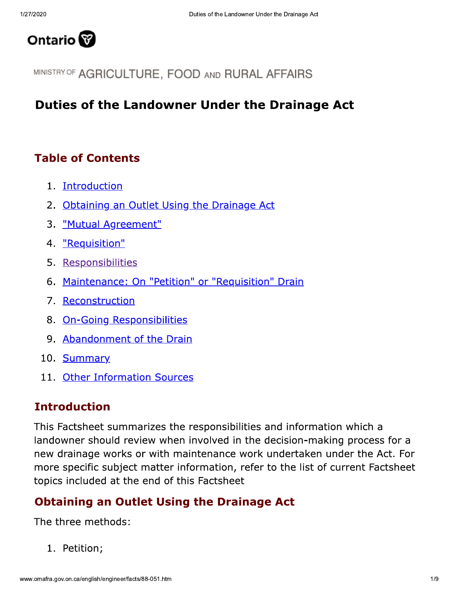

MINISTRY OF AGRICULTURE, FOOD AND RURAL AFFAIRS

## **Duties of the Landowner Under the Drainage Act**

### **Table of Contents**

- 1. Introduction
- 2. Obtaining an Outlet Using the Drainage Act
- 3. "Mutual Agreement"
- 4. "Requisition"
- 5. Responsibilities
- 6. Maintenance: On "Petition" or "Requisition" Drain
- 7. Reconstruction
- 8. On-Going Responsibilities
- 9. Abandonment of the Drain
- 10. Summary
- 11. Other Information Sources

#### **Introduction**

This Factsheet summarizes the responsibilities and information which a landowner should review when involved in the decision-making process for a new drainage works or with maintenance work undertaken under the Act. For more specific subject matter information, refer to the list of current Factsheet topics included at the end of this Factsheet

#### **Obtaining an Outlet Using the Drainage Act**

The three methods:

1. Petition;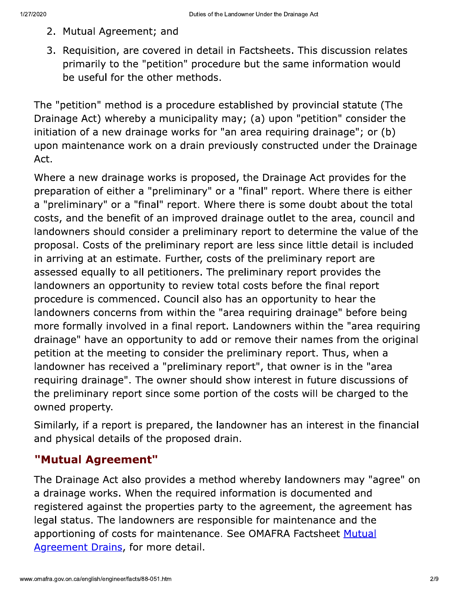- 2. Mutual Agreement; and
- 3. Requisition, are covered in detail in Factsheets. This discussion relates primarily to the "petition" procedure but the same information would be useful for the other methods.

The "petition" method is a procedure established by provincial statute (The Drainage Act) whereby a municipality may; (a) upon "petition" consider the initiation of a new drainage works for "an area requiring drainage"; or (b) upon maintenance work on a drain previously constructed under the Drainage Act.

Where a new drainage works is proposed, the Drainage Act provides for the preparation of either a "preliminary" or a "final" report. Where there is either a "preliminary" or a "final" report. Where there is some doubt about the total costs, and the benefit of an improved drainage outlet to the area, council and landowners should consider a preliminary report to determine the value of the proposal. Costs of the preliminary report are less since little detail is included in arriving at an estimate. Further, costs of the preliminary report are assessed equally to all petitioners. The preliminary report provides the landowners an opportunity to review total costs before the final report procedure is commenced. Council also has an opportunity to hear the landowners concerns from within the "area requiring drainage" before being more formally involved in a final report. Landowners within the "area requiring drainage" have an opportunity to add or remove their names from the original petition at the meeting to consider the preliminary report. Thus, when a landowner has received a "preliminary report", that owner is in the "area requiring drainage". The owner should show interest in future discussions of the preliminary report since some portion of the costs will be charged to the owned property.

Similarly, if a report is prepared, the landowner has an interest in the financial and physical details of the proposed drain.

#### "Mutual Agreement"

The Drainage Act also provides a method whereby landowners may "agree" on a drainage works. When the required information is documented and registered against the properties party to the agreement, the agreement has legal status. The landowners are responsible for maintenance and the apportioning of costs for maintenance. See OMAFRA Factsheet Mutual Agreement Drains, for more detail.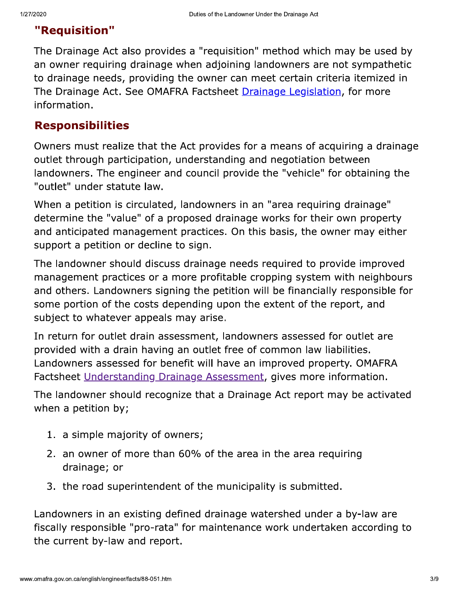# "Requisition"

The Drainage Act also provides a "requisition" method which may be used by an owner requiring drainage when adjoining landowners are not sympathetic to drainage needs, providing the owner can meet certain criteria itemized in The Drainage Act. See OMAFRA Factsheet Drainage Legislation, for more information.

## **Responsibilities**

Owners must realize that the Act provides for a means of acquiring a drainage outlet through participation, understanding and negotiation between landowners. The engineer and council provide the "vehicle" for obtaining the "outlet" under statute law.

When a petition is circulated, landowners in an "area requiring drainage" determine the "value" of a proposed drainage works for their own property and anticipated management practices. On this basis, the owner may either support a petition or decline to sign.

The landowner should discuss drainage needs required to provide improved management practices or a more profitable cropping system with neighbours and others. Landowners signing the petition will be financially responsible for some portion of the costs depending upon the extent of the report, and subject to whatever appeals may arise.

In return for outlet drain assessment, landowners assessed for outlet are provided with a drain having an outlet free of common law liabilities. Landowners assessed for benefit will have an improved property. OMAFRA Factsheet Understanding Drainage Assessment, gives more information.

The landowner should recognize that a Drainage Act report may be activated when a petition by;

- 1. a simple majority of owners;
- 2. an owner of more than 60% of the area in the area requiring drainage; or
- 3. the road superintendent of the municipality is submitted.

Landowners in an existing defined drainage watershed under a by-law are fiscally responsible "pro-rata" for maintenance work undertaken according to the current by-law and report.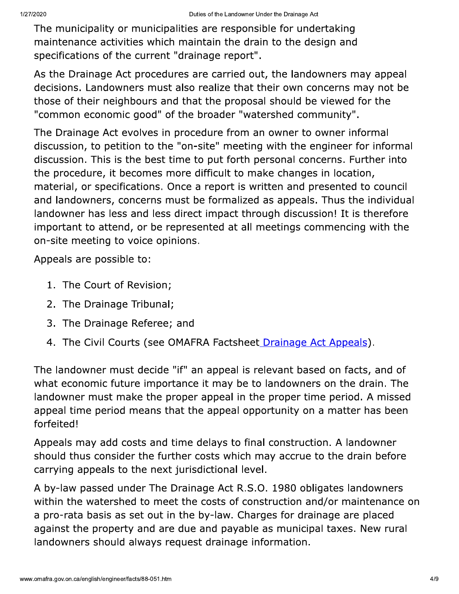The municipality or municipalities are responsible for undertaking maintenance activities which maintain the drain to the design and specifications of the current "drainage report".

As the Drainage Act procedures are carried out, the landowners may appeal decisions. Landowners must also realize that their own concerns may not be those of their neighbours and that the proposal should be viewed for the "common economic good" of the broader "watershed community".

The Drainage Act evolves in procedure from an owner to owner informal discussion, to petition to the "on-site" meeting with the engineer for informal discussion. This is the best time to put forth personal concerns. Further into the procedure, it becomes more difficult to make changes in location, material, or specifications. Once a report is written and presented to council and landowners, concerns must be formalized as appeals. Thus the individual landowner has less and less direct impact through discussion! It is therefore important to attend, or be represented at all meetings commencing with the on-site meeting to voice opinions.

Appeals are possible to:

- 1. The Court of Revision;
- 2. The Drainage Tribunal;
- 3. The Drainage Referee; and
- 4. The Civil Courts (see OMAFRA Factsheet Drainage Act Appeals).

The landowner must decide "if" an appeal is relevant based on facts, and of what economic future importance it may be to landowners on the drain. The landowner must make the proper appeal in the proper time period. A missed appeal time period means that the appeal opportunity on a matter has been forfeited!

Appeals may add costs and time delays to final construction. A landowner should thus consider the further costs which may accrue to the drain before carrying appeals to the next jurisdictional level.

A by-law passed under The Drainage Act R.S.O. 1980 obligates landowners within the watershed to meet the costs of construction and/or maintenance on a pro-rata basis as set out in the by-law. Charges for drainage are placed against the property and are due and payable as municipal taxes. New rural landowners should always request drainage information.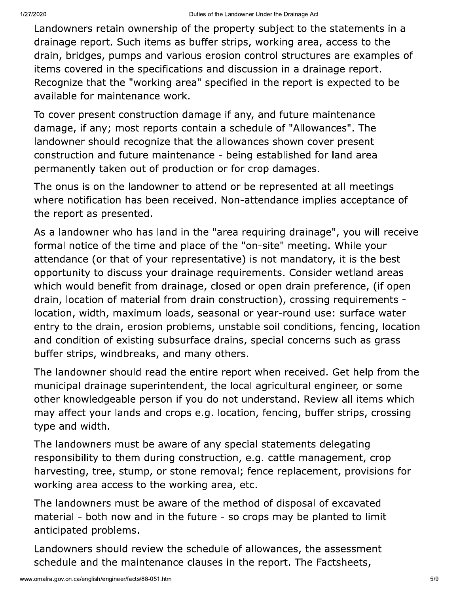Landowners retain ownership of the property subject to the statements in a drainage report. Such items as buffer strips, working area, access to the drain, bridges, pumps and various erosion control structures are examples of items covered in the specifications and discussion in a drainage report. Recognize that the "working area" specified in the report is expected to be available for maintenance work.

To cover present construction damage if any, and future maintenance damage, if any; most reports contain a schedule of "Allowances". The landowner should recognize that the allowances shown cover present construction and future maintenance - being established for land area permanently taken out of production or for crop damages.

The onus is on the landowner to attend or be represented at all meetings where notification has been received. Non-attendance implies acceptance of the report as presented.

As a landowner who has land in the "area requiring drainage", you will receive formal notice of the time and place of the "on-site" meeting. While your attendance (or that of your representative) is not mandatory, it is the best opportunity to discuss your drainage requirements. Consider wetland areas which would benefit from drainage, closed or open drain preference, (if open drain, location of material from drain construction), crossing requirements location, width, maximum loads, seasonal or year-round use: surface water entry to the drain, erosion problems, unstable soil conditions, fencing, location and condition of existing subsurface drains, special concerns such as grass buffer strips, windbreaks, and many others.

The landowner should read the entire report when received. Get help from the municipal drainage superintendent, the local agricultural engineer, or some other knowledgeable person if you do not understand. Review all items which may affect your lands and crops e.g. location, fencing, buffer strips, crossing type and width.

The landowners must be aware of any special statements delegating responsibility to them during construction, e.g. cattle management, crop harvesting, tree, stump, or stone removal; fence replacement, provisions for working area access to the working area, etc.

The landowners must be aware of the method of disposal of excavated material - both now and in the future - so crops may be planted to limit anticipated problems.

Landowners should review the schedule of allowances, the assessment schedule and the maintenance clauses in the report. The Factsheets,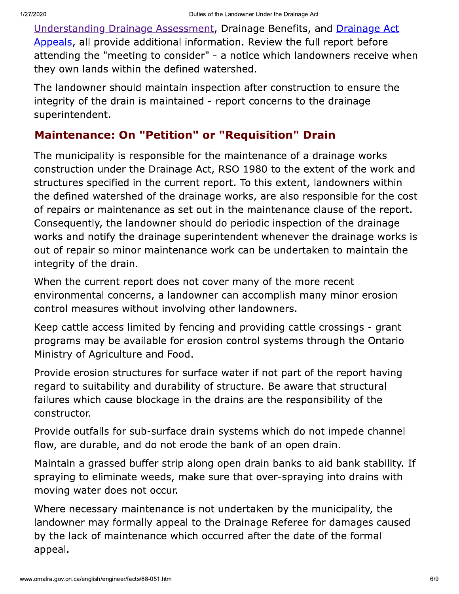Understanding Drainage Assessment, Drainage Benefits, and Drainage Act Appeals, all provide additional information. Review the full report before attending the "meeting to consider" - a notice which landowners receive when they own lands within the defined watershed.

The landowner should maintain inspection after construction to ensure the integrity of the drain is maintained - report concerns to the drainage superintendent.

#### **Maintenance: On "Petition" or "Requisition" Drain**

The municipality is responsible for the maintenance of a drainage works construction under the Drainage Act, RSO 1980 to the extent of the work and structures specified in the current report. To this extent, landowners within the defined watershed of the drainage works, are also responsible for the cost of repairs or maintenance as set out in the maintenance clause of the report. Consequently, the landowner should do periodic inspection of the drainage works and notify the drainage superintendent whenever the drainage works is out of repair so minor maintenance work can be undertaken to maintain the integrity of the drain.

When the current report does not cover many of the more recent environmental concerns, a landowner can accomplish many minor erosion control measures without involving other landowners.

Keep cattle access limited by fencing and providing cattle crossings - grant programs may be available for erosion control systems through the Ontario Ministry of Agriculture and Food.

Provide erosion structures for surface water if not part of the report having regard to suitability and durability of structure. Be aware that structural failures which cause blockage in the drains are the responsibility of the constructor.

Provide outfalls for sub-surface drain systems which do not impede channel flow, are durable, and do not erode the bank of an open drain.

Maintain a grassed buffer strip along open drain banks to aid bank stability. If spraying to eliminate weeds, make sure that over-spraying into drains with moving water does not occur.

Where necessary maintenance is not undertaken by the municipality, the landowner may formally appeal to the Drainage Referee for damages caused by the lack of maintenance which occurred after the date of the formal appeal.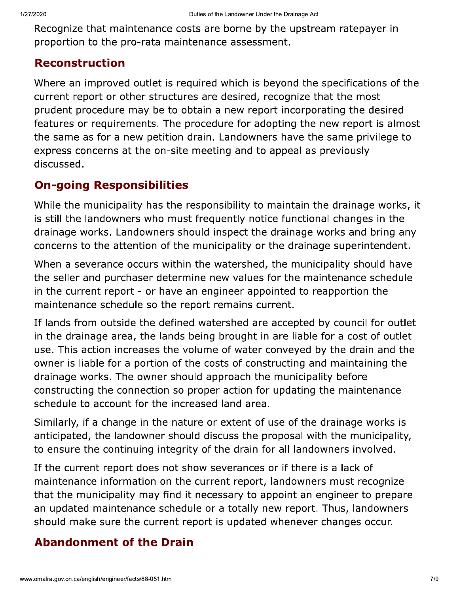Recognize that maintenance costs are borne by the upstream ratepayer in proportion to the pro-rata maintenance assessment.

#### **Reconstruction**

Where an improved outlet is required which is beyond the specifications of the current report or other structures are desired, recognize that the most prudent procedure may be to obtain a new report incorporating the desired features or requirements. The procedure for adopting the new report is almost the same as for a new petition drain. Landowners have the same privilege to express concerns at the on-site meeting and to appeal as previously discussed.

# **On-going Responsibilities**

While the municipality has the responsibility to maintain the drainage works, it is still the landowners who must frequently notice functional changes in the drainage works. Landowners should inspect the drainage works and bring any concerns to the attention of the municipality or the drainage superintendent.

When a severance occurs within the watershed, the municipality should have the seller and purchaser determine new values for the maintenance schedule in the current report - or have an engineer appointed to reapportion the maintenance schedule so the report remains current.

If lands from outside the defined watershed are accepted by council for outlet in the drainage area, the lands being brought in are liable for a cost of outlet use. This action increases the volume of water conveyed by the drain and the owner is liable for a portion of the costs of constructing and maintaining the drainage works. The owner should approach the municipality before constructing the connection so proper action for updating the maintenance schedule to account for the increased land area.

Similarly, if a change in the nature or extent of use of the drainage works is anticipated, the landowner should discuss the proposal with the municipality, to ensure the continuing integrity of the drain for all landowners involved.

If the current report does not show severances or if there is a lack of maintenance information on the current report, landowners must recognize that the municipality may find it necessary to appoint an engineer to prepare an updated maintenance schedule or a totally new report. Thus, landowners should make sure the current report is updated whenever changes occur.

# **Abandonment of the Drain**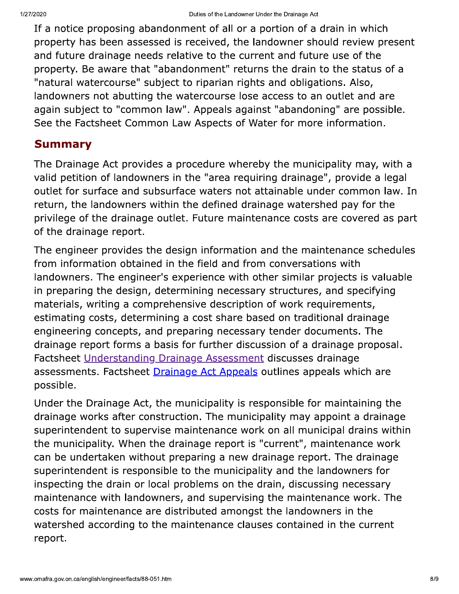If a notice proposing abandonment of all or a portion of a drain in which property has been assessed is received, the landowner should review present and future drainage needs relative to the current and future use of the property. Be aware that "abandonment" returns the drain to the status of a "natural watercourse" subject to riparian rights and obligations. Also, landowners not abutting the watercourse lose access to an outlet and are again subject to "common law". Appeals against "abandoning" are possible. See the Factsheet Common Law Aspects of Water for more information.

#### **Summary**

The Drainage Act provides a procedure whereby the municipality may, with a valid petition of landowners in the "area requiring drainage", provide a legal outlet for surface and subsurface waters not attainable under common law. In return, the landowners within the defined drainage watershed pay for the privilege of the drainage outlet. Future maintenance costs are covered as part of the drainage report.

The engineer provides the design information and the maintenance schedules from information obtained in the field and from conversations with landowners. The engineer's experience with other similar projects is valuable in preparing the design, determining necessary structures, and specifying materials, writing a comprehensive description of work requirements, estimating costs, determining a cost share based on traditional drainage engineering concepts, and preparing necessary tender documents. The drainage report forms a basis for further discussion of a drainage proposal. Factsheet Understanding Drainage Assessment discusses drainage assessments. Factsheet Drainage Act Appeals outlines appeals which are possible.

Under the Drainage Act, the municipality is responsible for maintaining the drainage works after construction. The municipality may appoint a drainage superintendent to supervise maintenance work on all municipal drains within the municipality. When the drainage report is "current", maintenance work can be undertaken without preparing a new drainage report. The drainage superintendent is responsible to the municipality and the landowners for inspecting the drain or local problems on the drain, discussing necessary maintenance with landowners, and supervising the maintenance work. The costs for maintenance are distributed amongst the landowners in the watershed according to the maintenance clauses contained in the current report.